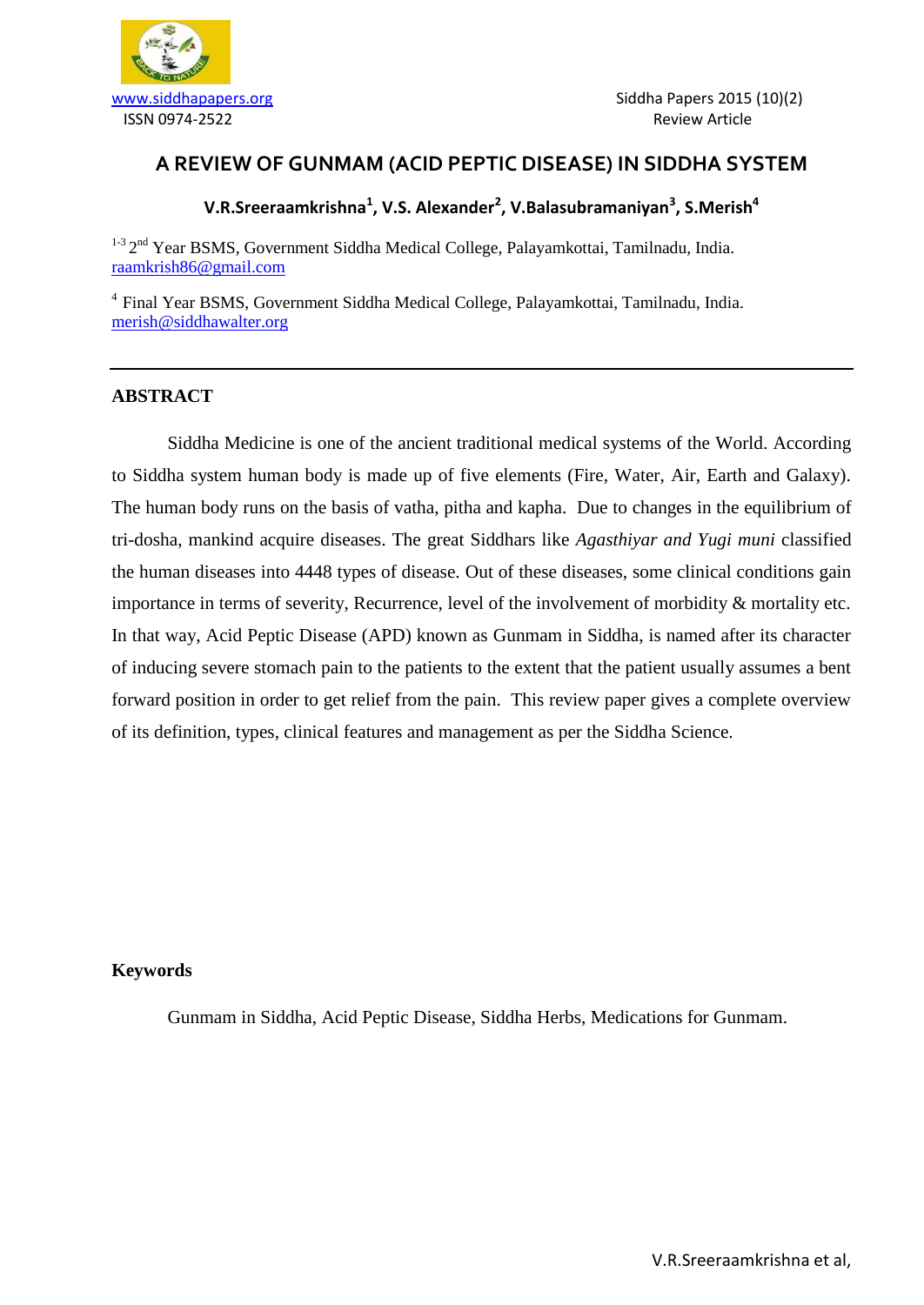

## **A REVIEW OF GUNMAM (ACID PEPTIC DISEASE) IN SIDDHA SYSTEM**

## **V.R.Sreeraamkrishna<sup>1</sup> , V.S. Alexander<sup>2</sup> , V.Balasubramaniyan<sup>3</sup> , S.Merish<sup>4</sup>**

<sup>1-3</sup> 2<sup>nd</sup> Year BSMS, Government Siddha Medical College, Palayamkottai, Tamilnadu, India. [raamkrish86@gmail.com](mailto:raamkrish86@gmail.com)

4 Final Year BSMS, Government Siddha Medical College, Palayamkottai, Tamilnadu, India. [merish@siddhawalter.org](mailto:merish@siddhawalter.org)

#### **ABSTRACT**

Siddha Medicine is one of the ancient traditional medical systems of the World. According to Siddha system human body is made up of five elements (Fire, Water, Air, Earth and Galaxy). The human body runs on the basis of vatha, pitha and kapha. Due to changes in the equilibrium of tri-dosha, mankind acquire diseases. The great Siddhars like *Agasthiyar and Yugi muni* classified the human diseases into 4448 types of disease. Out of these diseases, some clinical conditions gain importance in terms of severity, Recurrence, level of the involvement of morbidity & mortality etc. In that way, Acid Peptic Disease (APD) known as Gunmam in Siddha, is named after its character of inducing severe stomach pain to the patients to the extent that the patient usually assumes a bent forward position in order to get relief from the pain. This review paper gives a complete overview of its definition, types, clinical features and management as per the Siddha Science.

#### **Keywords**

Gunmam in Siddha, Acid Peptic Disease, Siddha Herbs, Medications for Gunmam.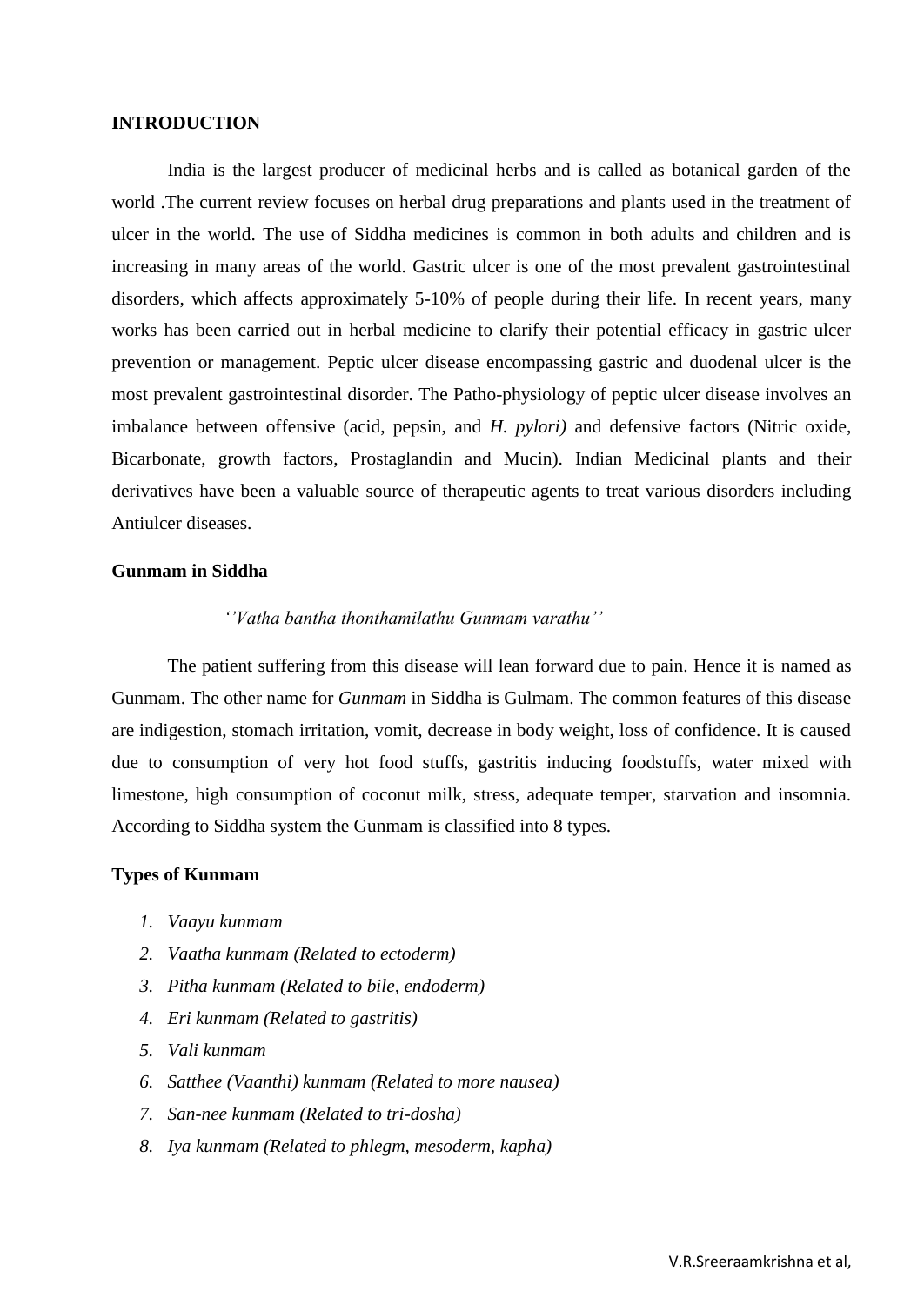#### **INTRODUCTION**

India is the largest producer of medicinal herbs and is called as botanical garden of the world .The current review focuses on herbal drug preparations and plants used in the treatment of ulcer in the world. The use of Siddha medicines is common in both adults and children and is increasing in many areas of the world. Gastric ulcer is one of the most prevalent gastrointestinal disorders, which affects approximately 5-10% of people during their life. In recent years, many works has been carried out in herbal medicine to clarify their potential efficacy in gastric ulcer prevention or management. Peptic ulcer disease encompassing gastric and duodenal ulcer is the most prevalent gastrointestinal disorder. The Patho-physiology of peptic ulcer disease involves an imbalance between offensive (acid, pepsin, and *H. pylori)* and defensive factors (Nitric oxide, Bicarbonate, growth factors, Prostaglandin and Mucin). Indian Medicinal plants and their derivatives have been a valuable source of therapeutic agents to treat various disorders including Antiulcer diseases.

#### **Gunmam in Siddha**

#### *''Vatha bantha thonthamilathu Gunmam varathu''*

The patient suffering from this disease will lean forward due to pain. Hence it is named as Gunmam. The other name for *Gunmam* in Siddha is Gulmam. The common features of this disease are indigestion, stomach irritation, vomit, decrease in body weight, loss of confidence. It is caused due to consumption of very hot food stuffs, gastritis inducing foodstuffs, water mixed with limestone, high consumption of coconut milk, stress, adequate temper, starvation and insomnia. According to Siddha system the Gunmam is classified into 8 types.

#### **Types of Kunmam**

- *1. Vaayu kunmam*
- *2. Vaatha kunmam (Related to ectoderm)*
- *3. Pitha kunmam (Related to bile, endoderm)*
- *4. Eri kunmam (Related to gastritis)*
- *5. Vali kunmam*
- *6. Satthee (Vaanthi) kunmam (Related to more nausea)*
- *7. San-nee kunmam (Related to tri-dosha)*
- *8. Iya kunmam (Related to phlegm, mesoderm, kapha)*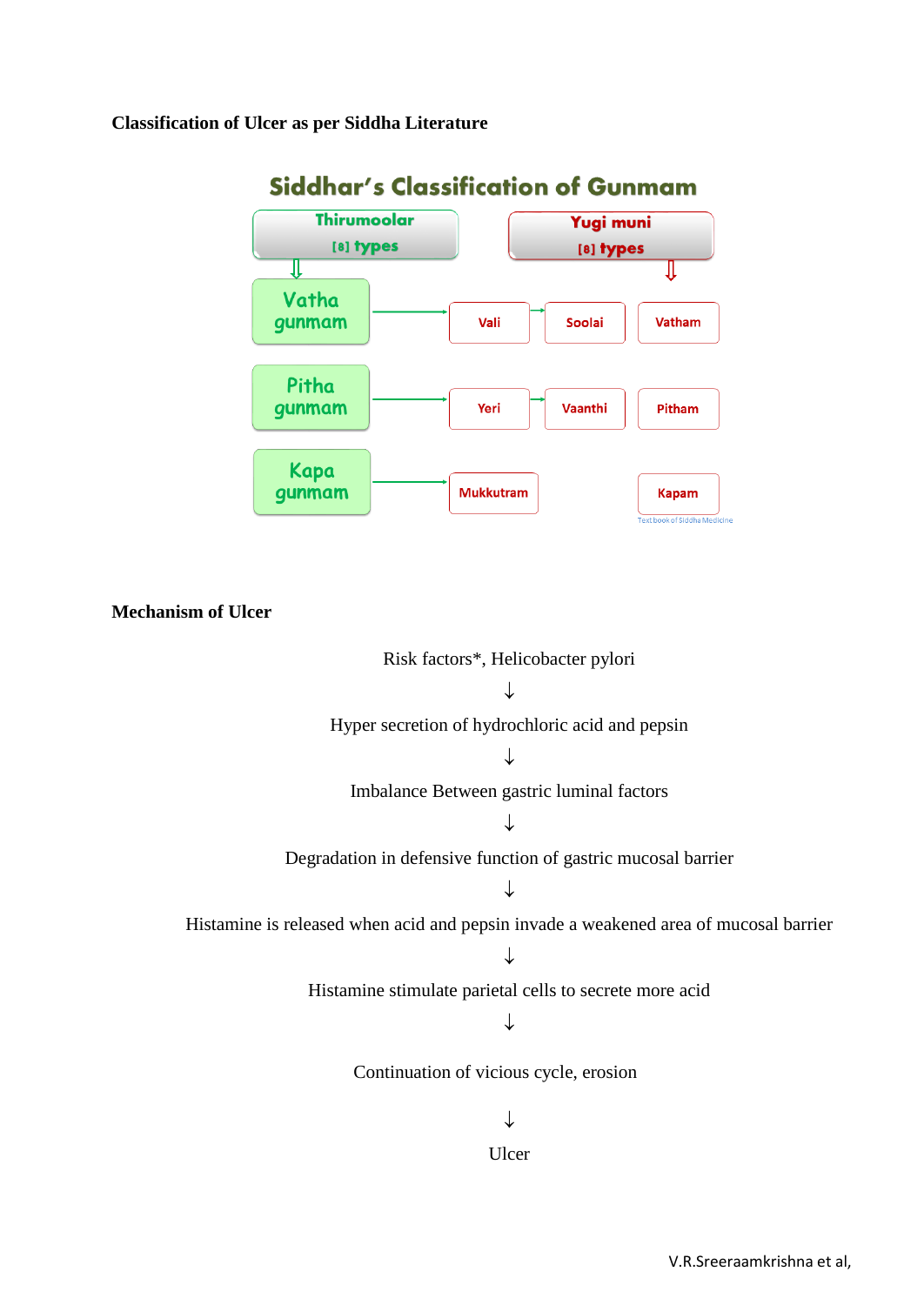#### **Classification of Ulcer as per Siddha Literature**



# Siddhar's Classification of Gunmam

**Mechanism of Ulcer**

Risk factors\*, Helicobacter pylori  $\downarrow$ Hyper secretion of hydrochloric acid and pepsin J Imbalance Between gastric luminal factors  $\downarrow$ Degradation in defensive function of gastric mucosal barrier  $\downarrow$ Histamine is released when acid and pepsin invade a weakened area of mucosal barrier ↓ Histamine stimulate parietal cells to secrete more acid  $\downarrow$ Continuation of vicious cycle, erosion  $\downarrow$ Ulcer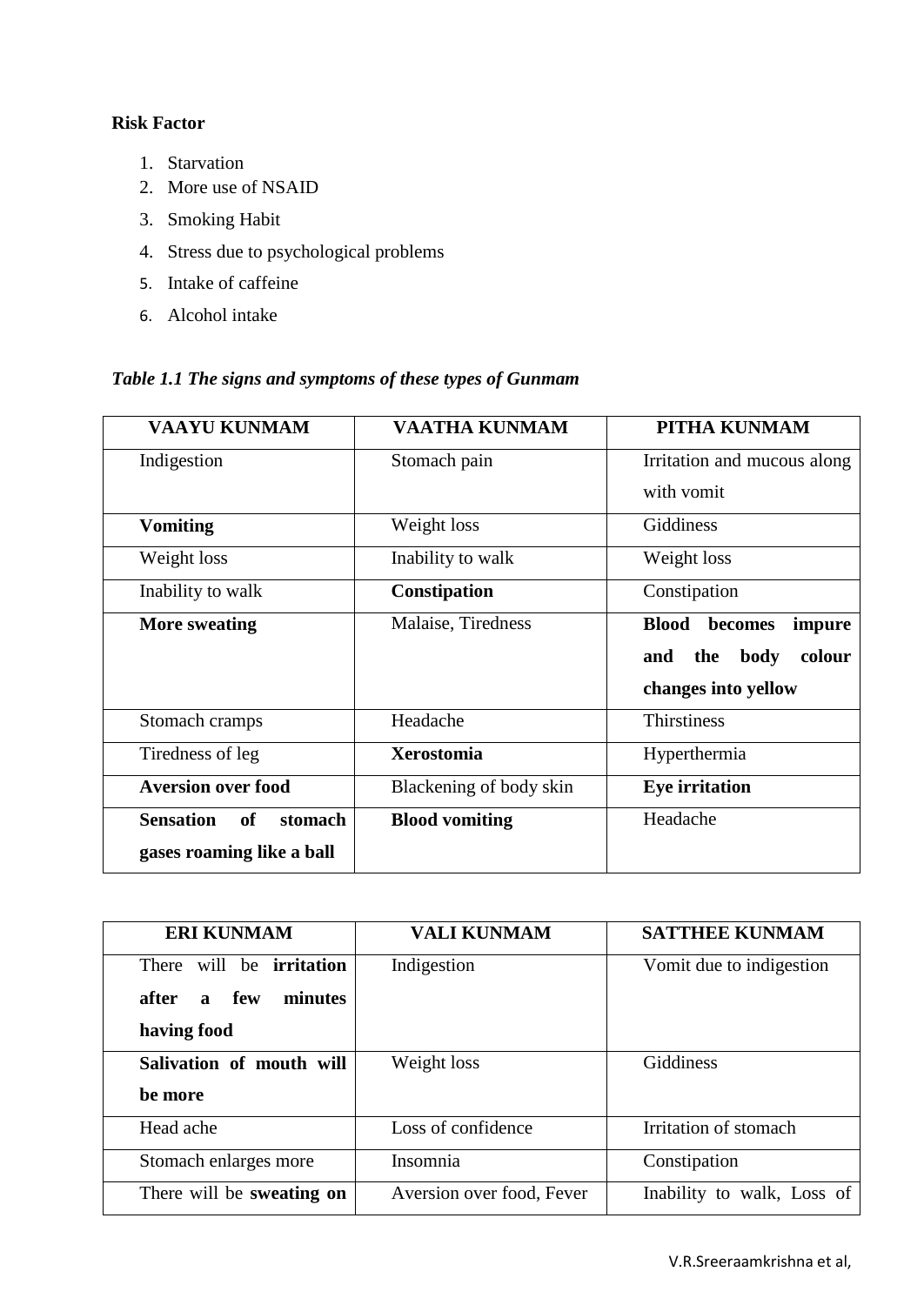## **Risk Factor**

- 1. Starvation
- 2. More use of NSAID
- 3. Smoking Habit
- 4. Stress due to psychological problems
- 5. Intake of caffeine
- 6. Alcohol intake

## *Table 1.1 The signs and symptoms of these types of Gunmam*

| <b>VAAYU KUNMAM</b>               | <b>VAATHA KUNMAM</b>    | PITHA KUNMAM                      |  |
|-----------------------------------|-------------------------|-----------------------------------|--|
| Indigestion                       | Stomach pain            | Irritation and mucous along       |  |
|                                   |                         | with vomit                        |  |
| <b>Vomiting</b>                   | Weight loss             | Giddiness                         |  |
| Weight loss                       | Inability to walk       | Weight loss                       |  |
| Inability to walk                 | Constipation            | Constipation                      |  |
| <b>More sweating</b>              | Malaise, Tiredness      | <b>Blood</b><br>becomes<br>impure |  |
|                                   |                         |                                   |  |
|                                   |                         | body<br>colour<br>and<br>the      |  |
|                                   |                         | changes into yellow               |  |
| Stomach cramps                    | Headache                | <b>Thirstiness</b>                |  |
| Tiredness of leg                  | <b>Xerostomia</b>       | Hyperthermia                      |  |
| <b>Aversion over food</b>         | Blackening of body skin | <b>Eye</b> irritation             |  |
| <b>Sensation</b><br>stomach<br>of | <b>Blood vomiting</b>   | Headache                          |  |

| <b>ERI KUNMAM</b>                       | <b>VALI KUNMAM</b>        | <b>SATTHEE KUNMAM</b>      |  |
|-----------------------------------------|---------------------------|----------------------------|--|
| will be <b>irritation</b><br>There      | Indigestion               | Vomit due to indigestion   |  |
| few<br>minutes<br>after<br>$\mathbf{a}$ |                           |                            |  |
| having food                             |                           |                            |  |
| Salivation of mouth will                | Weight loss               | Giddiness                  |  |
| be more                                 |                           |                            |  |
| Head ache                               | Loss of confidence        | Irritation of stomach      |  |
| Stomach enlarges more                   | Insomnia                  | Constipation               |  |
| There will be sweating on               | Aversion over food, Fever | Inability to walk, Loss of |  |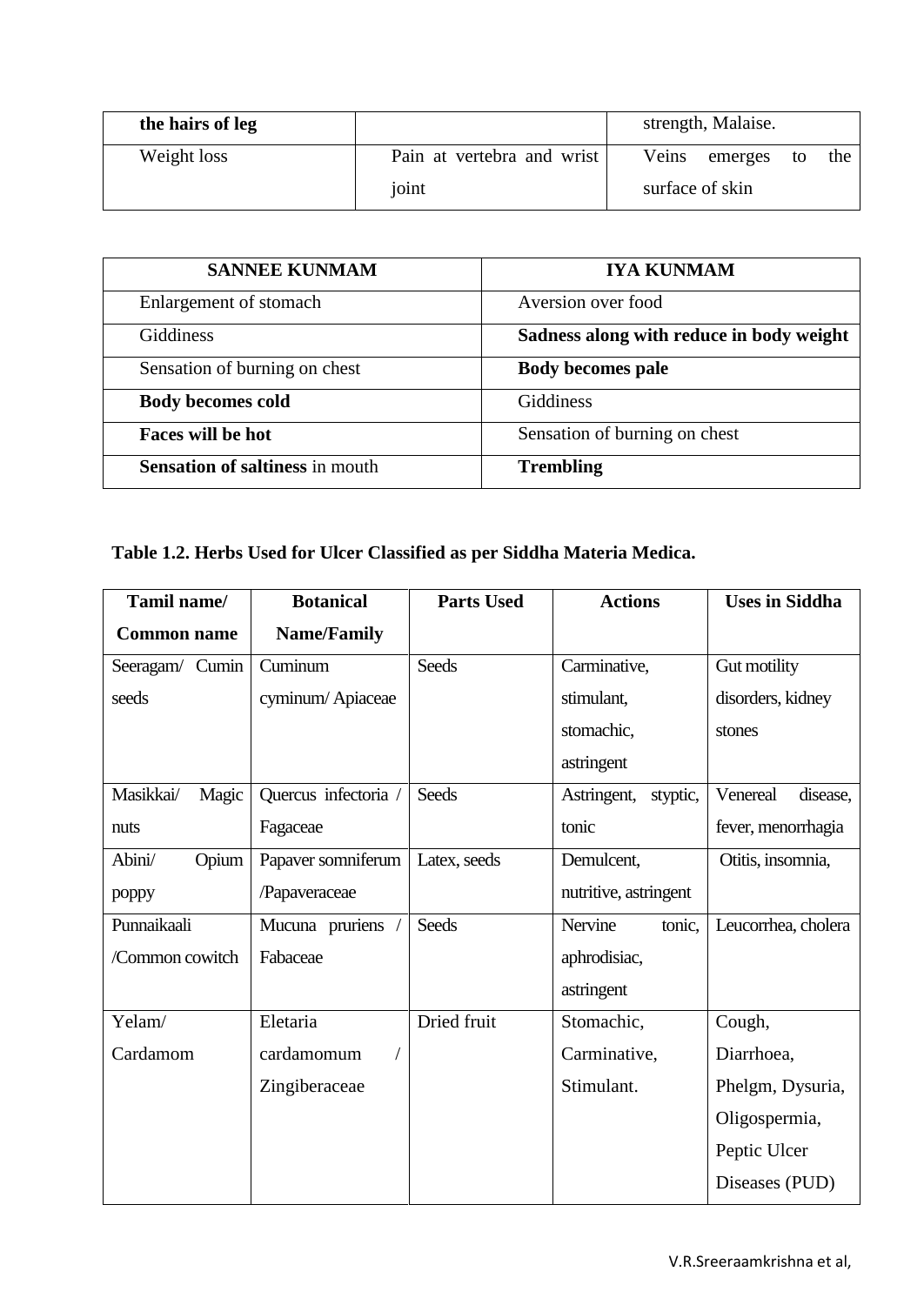| the hairs of leg |                            | strength, Malaise.         |  |
|------------------|----------------------------|----------------------------|--|
| Weight loss      | Pain at vertebra and wrist | Veins emerges<br>the<br>to |  |
|                  | joint                      | surface of skin            |  |

| <b>SANNEE KUNMAM</b>                   | <b>IYA KUNMAM</b>                        |  |  |
|----------------------------------------|------------------------------------------|--|--|
| Enlargement of stomach                 | Aversion over food                       |  |  |
| Giddiness                              | Sadness along with reduce in body weight |  |  |
| Sensation of burning on chest          | <b>Body becomes pale</b>                 |  |  |
| <b>Body becomes cold</b>               | <b>Giddiness</b>                         |  |  |
| Faces will be hot                      | Sensation of burning on chest            |  |  |
| <b>Sensation of saltiness in mouth</b> | <b>Trembling</b>                         |  |  |

## **Table 1.2. Herbs Used for Ulcer Classified as per Siddha Materia Medica.**

| Tamil name/        | <b>Botanical</b>   | <b>Parts Used</b> | <b>Actions</b>          | <b>Uses in Siddha</b> |
|--------------------|--------------------|-------------------|-------------------------|-----------------------|
| <b>Common name</b> | <b>Name/Family</b> |                   |                         |                       |
| Seeragam/ Cumin    | Cuminum            | <b>Seeds</b>      | Carminative,            | Gut motility          |
| seeds              | cyminum/Apiaceae   |                   | stimulant,              | disorders, kidney     |
|                    |                    |                   | stomachic,              | stones                |
|                    |                    |                   | astringent              |                       |
| Magic<br>Masikkai/ | Quercus infectoria | <b>Seeds</b>      | Astringent,<br>styptic, | Venereal<br>disease,  |
| nuts               | Fagaceae           |                   | tonic                   | fever, menorrhagia    |
| Opium<br>Abini/    | Papaver somniferum | Latex, seeds      | Demulcent,              | Otitis, insomnia,     |
| poppy              | /Papaveraceae      |                   | nutritive, astringent   |                       |
| Punnaikaali        | Mucuna pruriens    | <b>Seeds</b>      | Nervine<br>tonic,       | Leucorrhea, cholera   |
| /Common cowitch    | Fabaceae           |                   | aphrodisiac,            |                       |
|                    |                    |                   | astringent              |                       |
| Yelam/             | Eletaria           | Dried fruit       | Stomachic,              | Cough,                |
| Cardamom           | cardamomum         |                   | Carminative,            | Diarrhoea,            |
|                    | Zingiberaceae      |                   | Stimulant.              | Phelgm, Dysuria,      |
|                    |                    |                   |                         | Oligospermia,         |
|                    |                    |                   |                         | Peptic Ulcer          |
|                    |                    |                   |                         | Diseases (PUD)        |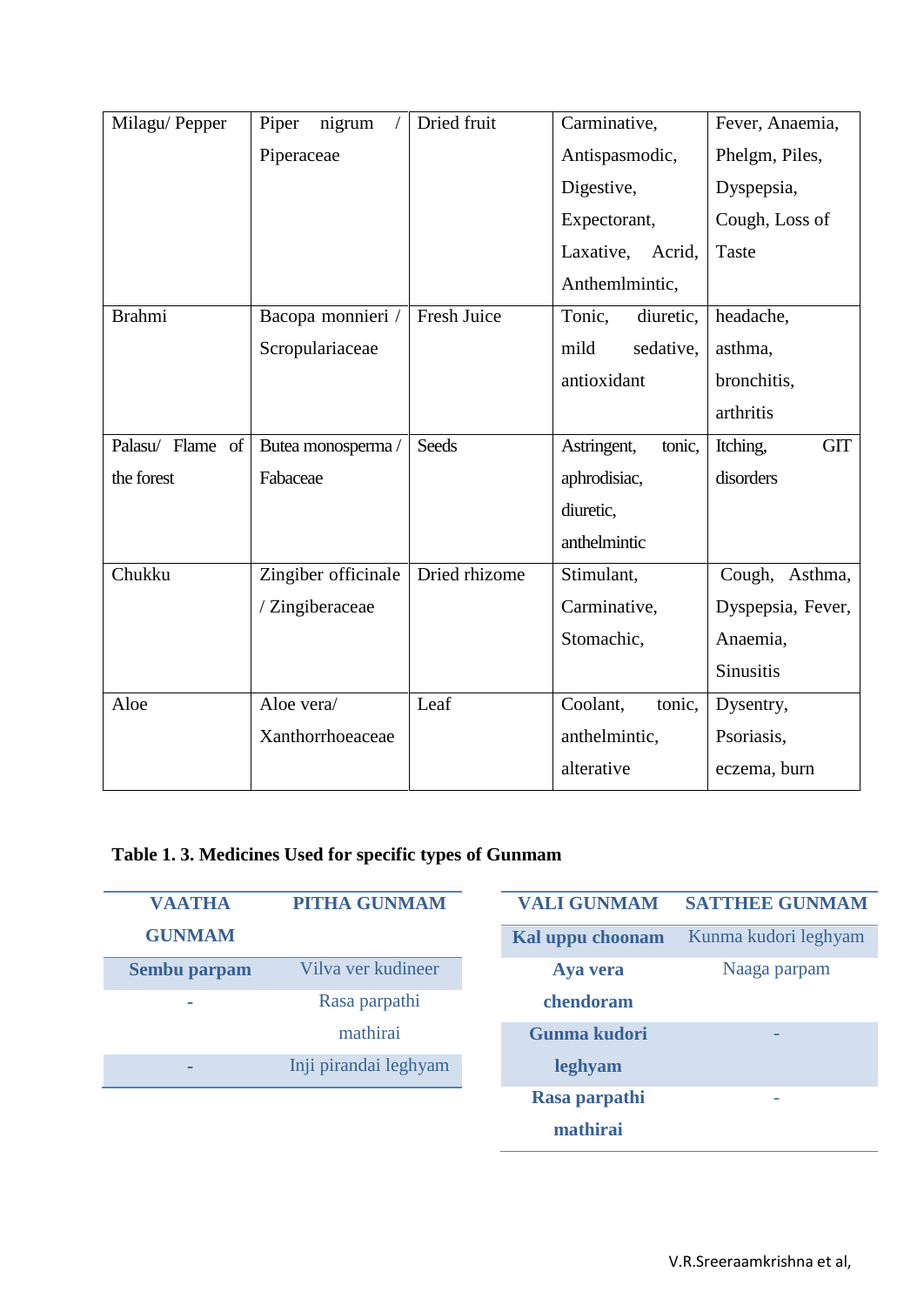| Milagu/Pepper    | nigrum<br>Piper        | Dried fruit   | Carminative,          | Fever, Anaemia,        |
|------------------|------------------------|---------------|-----------------------|------------------------|
|                  | Piperaceae             |               | Antispasmodic,        | Phelgm, Piles,         |
|                  |                        |               | Digestive,            | Dyspepsia,             |
|                  |                        |               | Expectorant,          | Cough, Loss of         |
|                  |                        |               | Laxative, Acrid,      | Taste                  |
|                  |                        |               | Anthemlmintic,        |                        |
| <b>Brahmi</b>    | Bacopa monnieri / $\,$ | Fresh Juice   | Tonic,<br>diuretic,   | headache,              |
|                  | Scropulariaceae        |               | sedative,<br>mild     | asthma,                |
|                  |                        |               | antioxidant           | bronchitis,            |
|                  |                        |               |                       | arthritis              |
| Palasu/ Flame of | Butea monosperma/      | <b>Seeds</b>  | Astringent,<br>tonic, | <b>GIT</b><br>Itching, |
| the forest       | Fabaceae               |               | aphrodisiac,          | disorders              |
|                  |                        |               | diuretic,             |                        |
|                  |                        |               | anthelmintic          |                        |
| Chukku           | Zingiber officinale    | Dried rhizome | Stimulant,            | Cough, Asthma,         |
|                  | / Zingiberaceae        |               | Carminative,          | Dyspepsia, Fever,      |
|                  |                        |               | Stomachic,            | Anaemia,               |
|                  |                        |               |                       | <b>Sinusitis</b>       |
| Aloe             | Aloe vera/             | Leaf          | Coolant,<br>tonic,    | Dysentry,              |
|                  | Xanthorrhoeaceae       |               | anthelmintic,         | Psoriasis,             |
|                  |                        |               | alterative            | eczema, burn           |

## **Table 1. 3. Medicines Used for specific types of Gunmam**

| <b>VAATHA</b> | <b>PITHA GUNMAM</b>   | <b>VALI GUNMAM</b> | <b>SATTHEE GUNMAM</b> |
|---------------|-----------------------|--------------------|-----------------------|
| <b>GUNMAM</b> |                       | Kal uppu choonam   | Kunma kudori leghyam  |
| Sembu parpam  | Vilva ver kudineer    | Aya vera           | Naaga parpam          |
| ۰             | Rasa parpathi         | chendoram          |                       |
|               | mathirai              | Gunma kudori       |                       |
| ٠             | Inji pirandai leghyam | leghyam            |                       |
|               |                       | Rasa parpathi      | -                     |
|               |                       | mathirai           |                       |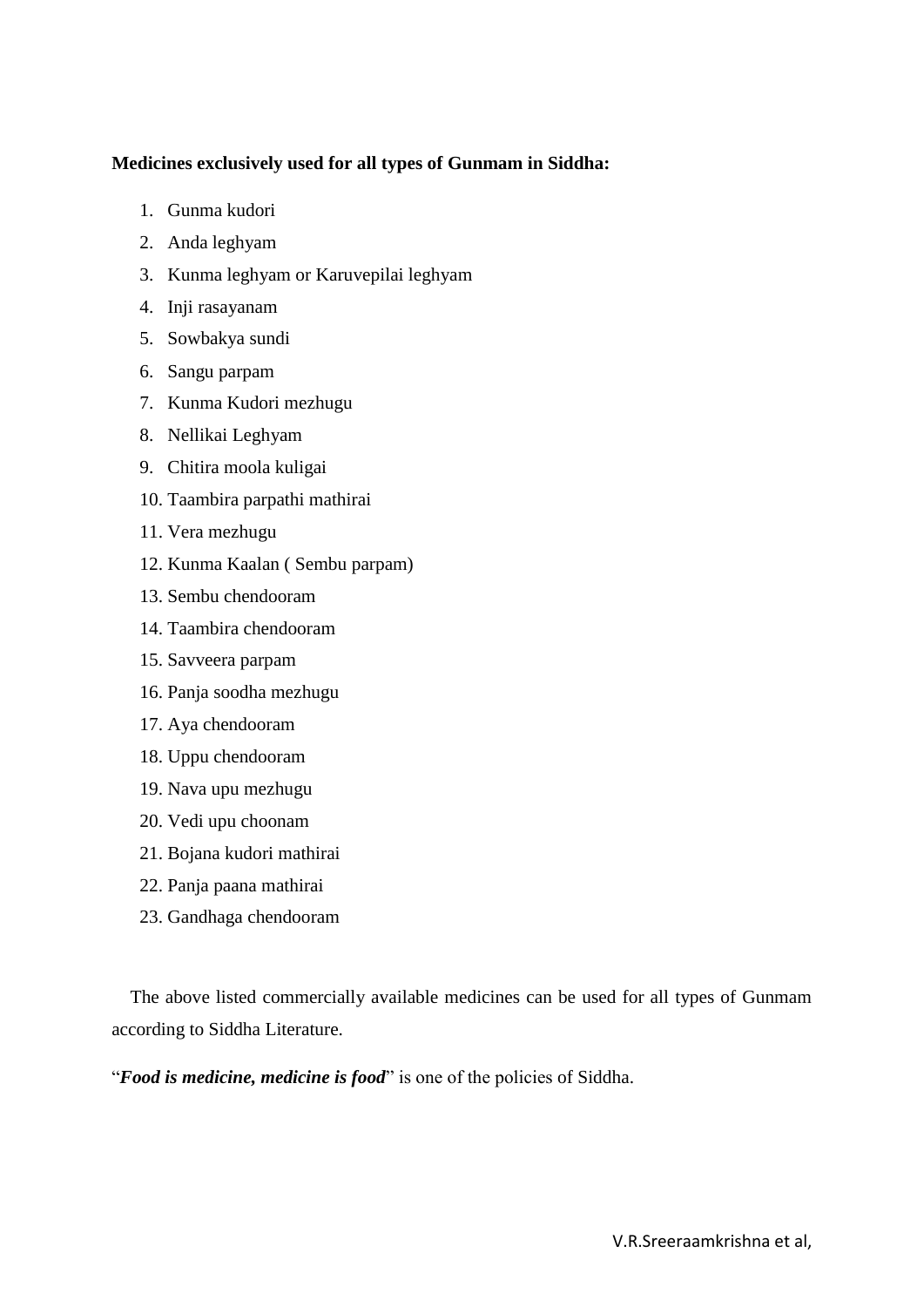### **Medicines exclusively used for all types of Gunmam in Siddha:**

- 1. Gunma kudori
- 2. Anda leghyam
- 3. Kunma leghyam or Karuvepilai leghyam
- 4. Inji rasayanam
- 5. Sowbakya sundi
- 6. Sangu parpam
- 7. Kunma Kudori mezhugu
- 8. Nellikai Leghyam
- 9. Chitira moola kuligai
- 10. Taambira parpathi mathirai
- 11. Vera mezhugu
- 12. Kunma Kaalan ( Sembu parpam)
- 13. Sembu chendooram
- 14. Taambira chendooram
- 15. Savveera parpam
- 16. Panja soodha mezhugu
- 17. Aya chendooram
- 18. Uppu chendooram
- 19. Nava upu mezhugu
- 20. Vedi upu choonam
- 21. Bojana kudori mathirai
- 22. Panja paana mathirai
- 23. Gandhaga chendooram

 The above listed commercially available medicines can be used for all types of Gunmam according to Siddha Literature.

"**Food is medicine, medicine is food**" is one of the policies of Siddha.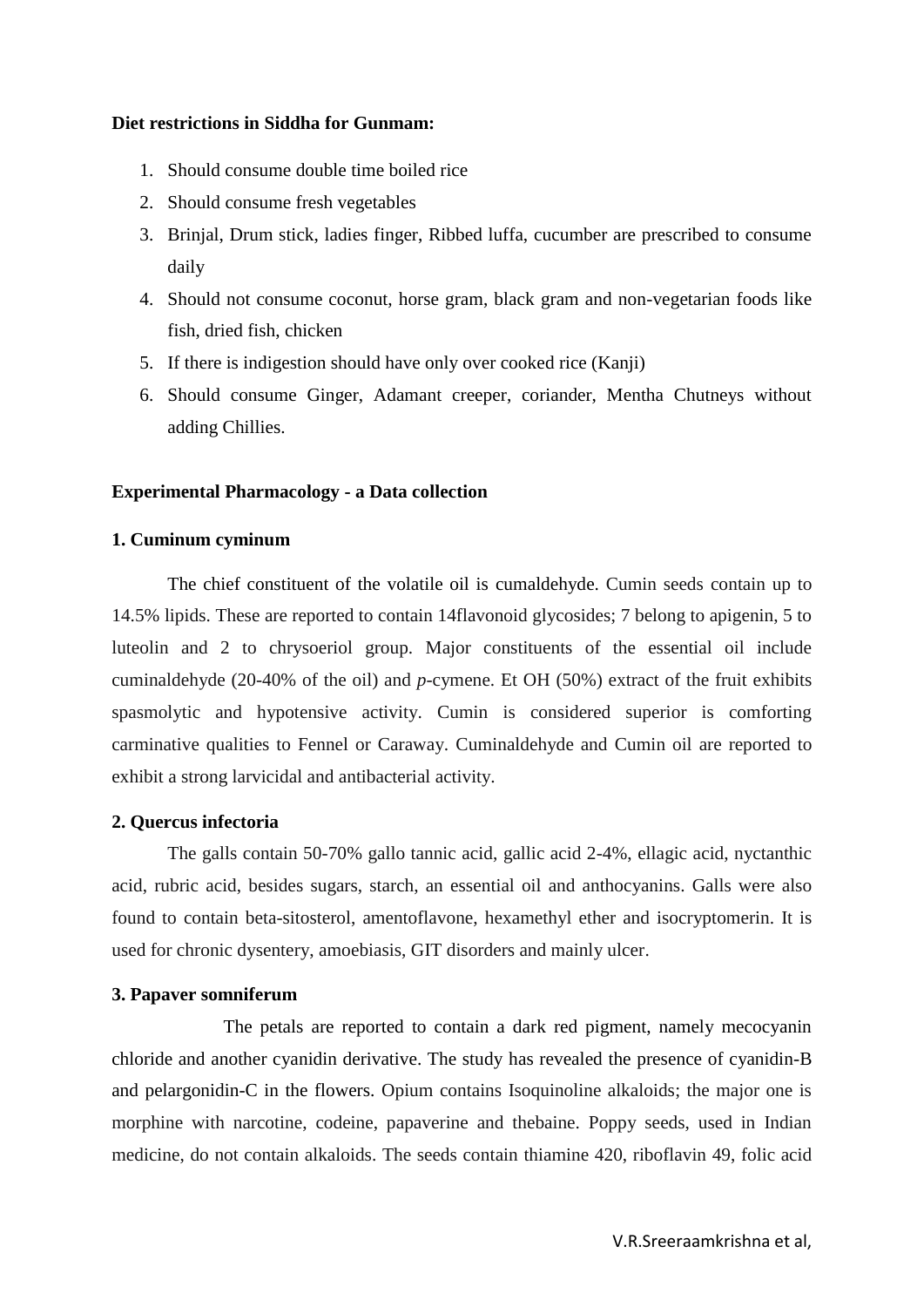#### **Diet restrictions in Siddha for Gunmam:**

- 1. Should consume double time boiled rice
- 2. Should consume fresh vegetables
- 3. Brinjal, Drum stick, ladies finger, Ribbed luffa, cucumber are prescribed to consume daily
- 4. Should not consume coconut, horse gram, black gram and non-vegetarian foods like fish, dried fish, chicken
- 5. If there is indigestion should have only over cooked rice (Kanji)
- 6. Should consume Ginger, Adamant creeper, coriander, Mentha Chutneys without adding Chillies.

#### **Experimental Pharmacology - a Data collection**

#### **1. Cuminum cyminum**

The chief constituent of the volatile oil is cumaldehyde. Cumin seeds contain up to 14.5% lipids. These are reported to contain 14flavonoid glycosides; 7 belong to apigenin, 5 to luteolin and 2 to chrysoeriol group. Major constituents of the essential oil include cuminaldehyde (20-40% of the oil) and *p*-cymene. Et OH (50%) extract of the fruit exhibits spasmolytic and hypotensive activity. Cumin is considered superior is comforting carminative qualities to Fennel or Caraway. Cuminaldehyde and Cumin oil are reported to exhibit a strong larvicidal and antibacterial activity.

#### **2. Quercus infectoria**

The galls contain 50-70% gallo tannic acid, gallic acid 2-4%, ellagic acid, nyctanthic acid, rubric acid, besides sugars, starch, an essential oil and anthocyanins. Galls were also found to contain beta-sitosterol, amentoflavone, hexamethyl ether and isocryptomerin. It is used for chronic dysentery, amoebiasis, GIT disorders and mainly ulcer.

#### **3. Papaver somniferum**

The petals are reported to contain a dark red pigment, namely mecocyanin chloride and another cyanidin derivative. The study has revealed the presence of cyanidin-B and pelargonidin-C in the flowers. Opium contains Isoquinoline alkaloids; the major one is morphine with narcotine, codeine, papaverine and thebaine. Poppy seeds, used in Indian medicine, do not contain alkaloids. The seeds contain thiamine 420, riboflavin 49, folic acid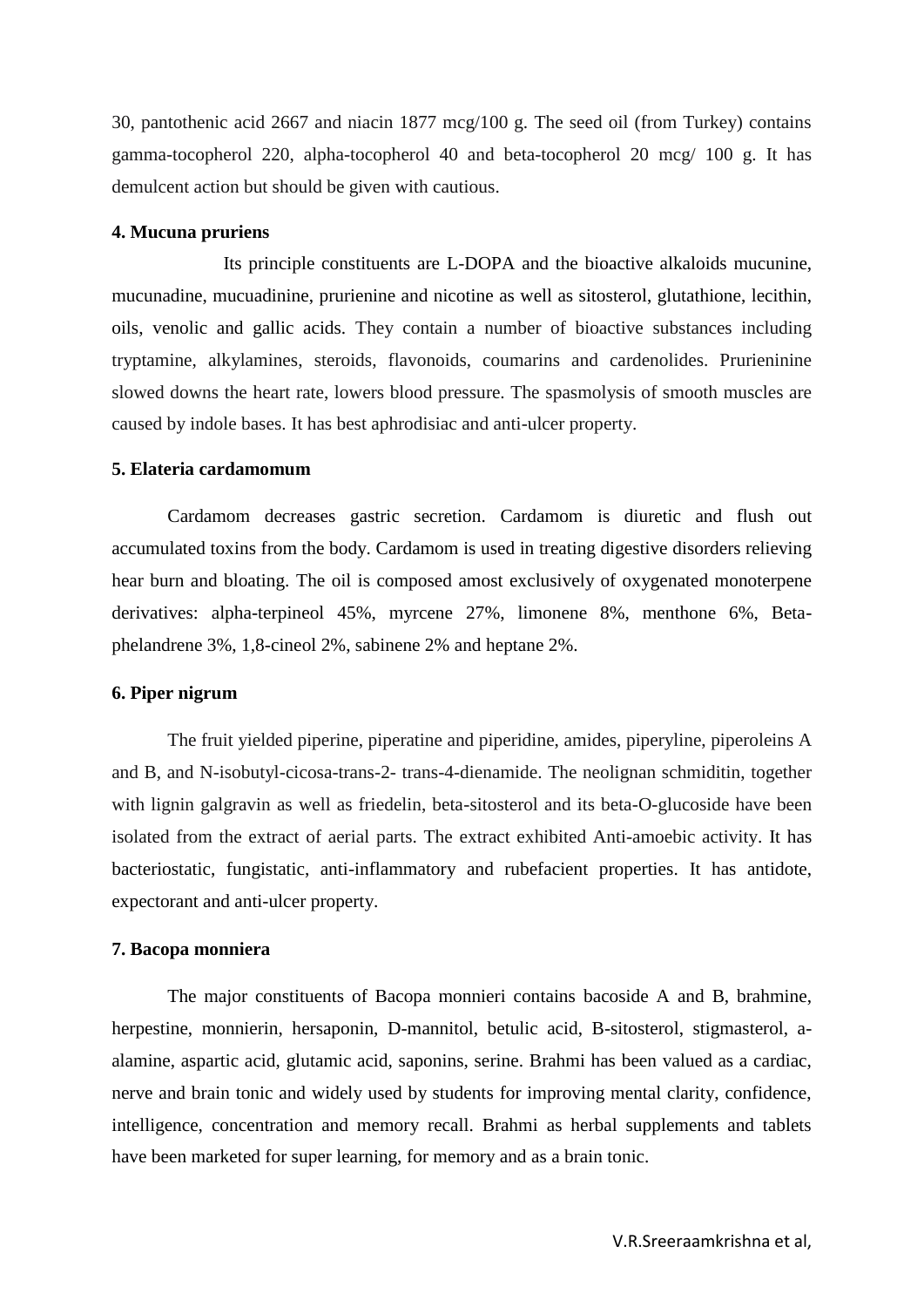30, pantothenic acid 2667 and niacin 1877 mcg/100 g. The seed oil (from Turkey) contains gamma-tocopherol 220, alpha-tocopherol 40 and beta-tocopherol 20 mcg/ 100 g. It has demulcent action but should be given with cautious.

#### **4. Mucuna pruriens**

Its principle constituents are L-DOPA and the bioactive alkaloids mucunine, mucunadine, mucuadinine, prurienine and nicotine as well as sitosterol, glutathione, lecithin, oils, venolic and gallic acids. They contain a number of bioactive substances including tryptamine, alkylamines, steroids, flavonoids, coumarins and cardenolides. Prurieninine slowed downs the heart rate, lowers blood pressure. The spasmolysis of smooth muscles are caused by indole bases. It has best aphrodisiac and anti-ulcer property.

#### **5. Elateria cardamomum**

Cardamom decreases gastric secretion. Cardamom is diuretic and flush out accumulated toxins from the body. Cardamom is used in treating digestive disorders relieving hear burn and bloating. The oil is composed amost exclusively of oxygenated monoterpene derivatives: alpha-terpineol 45%, myrcene 27%, limonene 8%, menthone 6%, Betaphelandrene 3%, 1,8-cineol 2%, sabinene 2% and heptane 2%.

#### **6. Piper nigrum**

The fruit yielded piperine, piperatine and piperidine, amides, piperyline, piperoleins A and B, and N-isobutyl-cicosa-trans-2- trans-4-dienamide. The neolignan schmiditin, together with lignin galgravin as well as friedelin, beta-sitosterol and its beta-O-glucoside have been isolated from the extract of aerial parts. The extract exhibited Anti-amoebic activity. It has bacteriostatic, fungistatic, anti-inflammatory and rubefacient properties. It has antidote, expectorant and anti-ulcer property.

#### **7. Bacopa monniera**

The major constituents of Bacopa monnieri contains bacoside A and B, brahmine, herpestine, monnierin, hersaponin, D-mannitol, betulic acid, B-sitosterol, stigmasterol, aalamine, aspartic acid, glutamic acid, saponins, serine. Brahmi has been valued as a cardiac, nerve and brain tonic and widely used by students for improving mental clarity, confidence, intelligence, concentration and memory recall. Brahmi as herbal supplements and tablets have been marketed for super learning, for memory and as a brain tonic.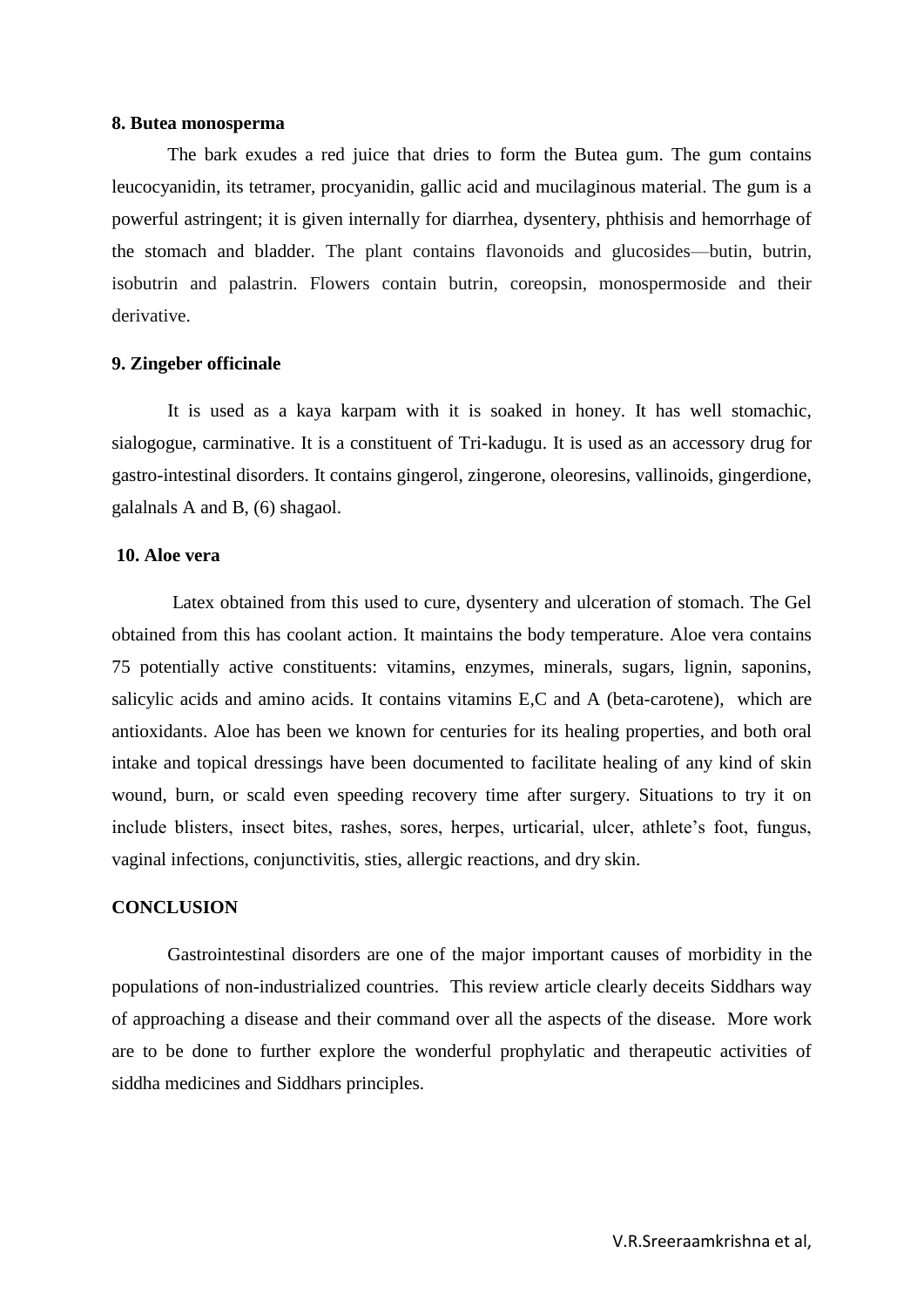#### **8. Butea monosperma**

The bark exudes a red juice that dries to form the Butea gum. The gum contains leucocyanidin, its tetramer, procyanidin, gallic acid and mucilaginous material. The gum is a powerful astringent; it is given internally for diarrhea, dysentery, phthisis and hemorrhage of the stomach and bladder. The plant contains flavonoids and glucosides—butin, butrin, isobutrin and palastrin. Flowers contain butrin, coreopsin, monospermoside and their derivative.

#### **9. Zingeber officinale**

It is used as a kaya karpam with it is soaked in honey. It has well stomachic, sialogogue, carminative. It is a constituent of Tri-kadugu. It is used as an accessory drug for gastro-intestinal disorders. It contains gingerol, zingerone, oleoresins, vallinoids, gingerdione, galalnals A and B, (6) shagaol.

#### **10. Aloe vera**

Latex obtained from this used to cure, dysentery and ulceration of stomach. The Gel obtained from this has coolant action. It maintains the body temperature. Aloe vera contains 75 potentially active constituents: vitamins, enzymes, minerals, sugars, lignin, saponins, salicylic acids and amino acids. It contains vitamins E,C and A (beta-carotene), which are antioxidants. Aloe has been we known for centuries for its healing properties, and both oral intake and topical dressings have been documented to facilitate healing of any kind of skin wound, burn, or scald even speeding recovery time after surgery. Situations to try it on include blisters, insect bites, rashes, sores, herpes, urticarial, ulcer, athlete's foot, fungus, vaginal infections, conjunctivitis, sties, allergic reactions, and dry skin.

#### **CONCLUSION**

Gastrointestinal disorders are one of the major important causes of morbidity in the populations of non-industrialized countries. This review article clearly deceits Siddhars way of approaching a disease and their command over all the aspects of the disease. More work are to be done to further explore the wonderful prophylatic and therapeutic activities of siddha medicines and Siddhars principles.